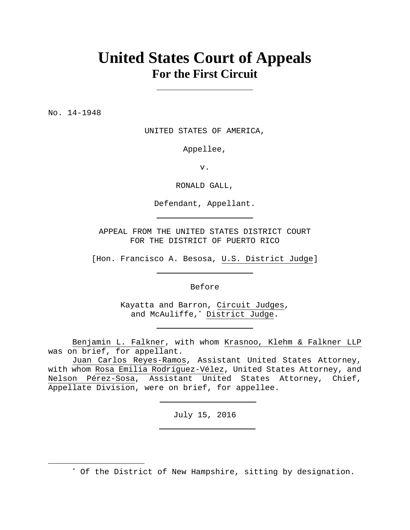# **United States Court of Appeals For the First Circuit**

No. 14-1948

UNITED STATES OF AMERICA,

Appellee,

v.

RONALD GALL,

Defendant, Appellant.

APPEAL FROM THE UNITED STATES DISTRICT COURT FOR THE DISTRICT OF PUERTO RICO

[Hon. Francisco A. Besosa, U.S. District Judge]

Before

Kayatta and Barron, Circuit Judges, and McAuliffe,\* District Judge.

 Benjamin L. Falkner, with whom Krasnoo, Klehm & Falkner LLP was on brief, for appellant.

 Juan Carlos Reyes-Ramos, Assistant United States Attorney, with whom Rosa Emilia Rodríguez-Vélez, United States Attorney, and Nelson Pérez-Sosa, Assistant United States Attorney, Chief, Appellate Division, were on brief, for appellee.

July 15, 2016

\* Of the District of New Hampshire, sitting by designation.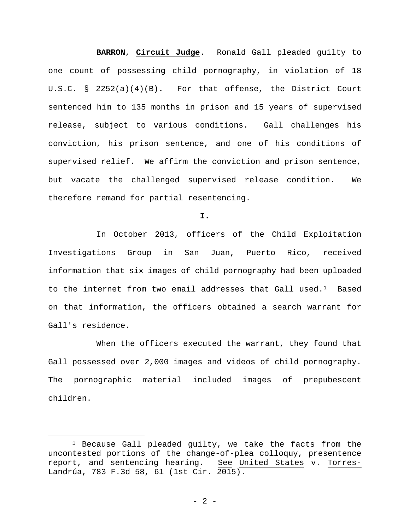**BARRON**, **Circuit Judge**. Ronald Gall pleaded guilty to one count of possessing child pornography, in violation of 18 U.S.C. § 2252(a)(4)(B)**.** For that offense, the District Court sentenced him to 135 months in prison and 15 years of supervised release, subject to various conditions. Gall challenges his conviction, his prison sentence, and one of his conditions of supervised relief. We affirm the conviction and prison sentence, but vacate the challenged supervised release condition. We therefore remand for partial resentencing.

**I.**

 In October 2013, officers of the Child Exploitation Investigations Group in San Juan, Puerto Rico, received information that six images of child pornography had been uploaded to the internet from two email addresses that Gall used.<sup>1</sup> Based on that information, the officers obtained a search warrant for Gall's residence.

 When the officers executed the warrant, they found that Gall possessed over 2,000 images and videos of child pornography. The pornographic material included images of prepubescent children.

 <sup>1</sup> Because Gall pleaded guilty, we take the facts from the uncontested portions of the change-of-plea colloquy, presentence report, and sentencing hearing. See United States v. Torres-Landrúa, 783 F.3d 58, 61 (1st Cir. 2015).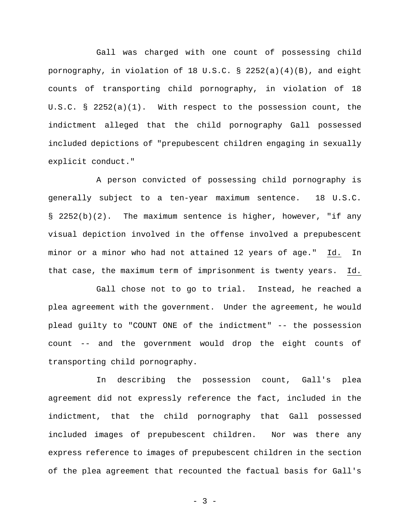Gall was charged with one count of possessing child pornography, in violation of 18 U.S.C. § 2252(a)(4)(B), and eight counts of transporting child pornography, in violation of 18 U.S.C. § 2252(a)(1). With respect to the possession count, the indictment alleged that the child pornography Gall possessed included depictions of "prepubescent children engaging in sexually explicit conduct."

 A person convicted of possessing child pornography is generally subject to a ten-year maximum sentence. 18 U.S.C. § 2252(b)(2). The maximum sentence is higher, however, "if any visual depiction involved in the offense involved a prepubescent minor or a minor who had not attained 12 years of age." Id. In that case, the maximum term of imprisonment is twenty years. Id.

 Gall chose not to go to trial. Instead, he reached a plea agreement with the government. Under the agreement, he would plead guilty to "COUNT ONE of the indictment" -- the possession count -- and the government would drop the eight counts of transporting child pornography.

 In describing the possession count, Gall's plea agreement did not expressly reference the fact, included in the indictment, that the child pornography that Gall possessed included images of prepubescent children. Nor was there any express reference to images of prepubescent children in the section of the plea agreement that recounted the factual basis for Gall's

 $- 3 -$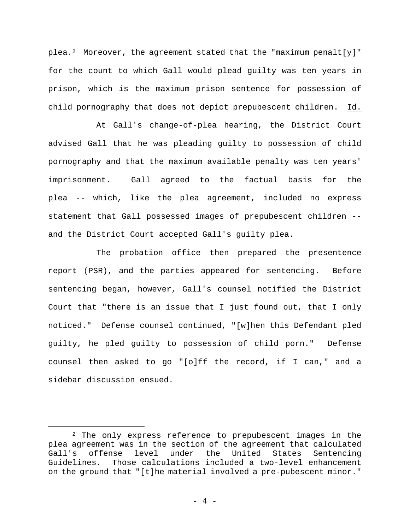plea.<sup>2</sup> Moreover, the agreement stated that the "maximum penalt[y]" for the count to which Gall would plead guilty was ten years in prison, which is the maximum prison sentence for possession of child pornography that does not depict prepubescent children. Id.

 At Gall's change-of-plea hearing, the District Court advised Gall that he was pleading guilty to possession of child pornography and that the maximum available penalty was ten years' imprisonment. Gall agreed to the factual basis for the plea -- which, like the plea agreement, included no express statement that Gall possessed images of prepubescent children - and the District Court accepted Gall's guilty plea.

 The probation office then prepared the presentence report (PSR), and the parties appeared for sentencing. Before sentencing began, however, Gall's counsel notified the District Court that "there is an issue that I just found out, that I only noticed." Defense counsel continued, "[w]hen this Defendant pled guilty, he pled guilty to possession of child porn." Defense counsel then asked to go "[o]ff the record, if I can," and a sidebar discussion ensued.

 <sup>2</sup> The only express reference to prepubescent images in the plea agreement was in the section of the agreement that calculated Gall's offense level under the United States Sentencing Guidelines. Those calculations included a two-level enhancement on the ground that "[t]he material involved a pre-pubescent minor."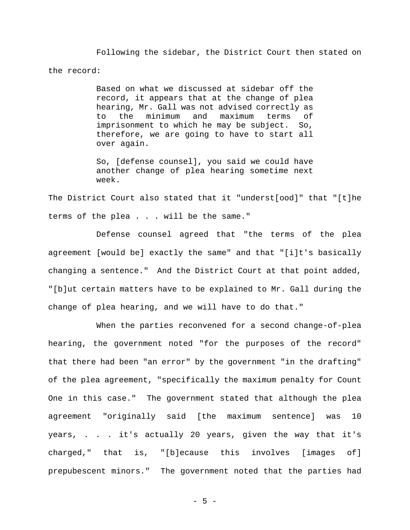Following the sidebar, the District Court then stated on the record:

> Based on what we discussed at sidebar off the record, it appears that at the change of plea hearing, Mr. Gall was not advised correctly as to the minimum and maximum terms of imprisonment to which he may be subject. So, therefore, we are going to have to start all over again.

> So, [defense counsel], you said we could have another change of plea hearing sometime next week.

The District Court also stated that it "underst[ood]" that "[t]he terms of the plea . . . will be the same."

 Defense counsel agreed that "the terms of the plea agreement [would be] exactly the same" and that "[i]t's basically changing a sentence." And the District Court at that point added, "[b]ut certain matters have to be explained to Mr. Gall during the change of plea hearing, and we will have to do that."

When the parties reconvened for a second change-of-plea hearing, the government noted "for the purposes of the record" that there had been "an error" by the government "in the drafting" of the plea agreement, "specifically the maximum penalty for Count One in this case." The government stated that although the plea agreement "originally said [the maximum sentence] was 10 years, . . . it's actually 20 years, given the way that it's charged," that is, "[b]ecause this involves [images of] prepubescent minors." The government noted that the parties had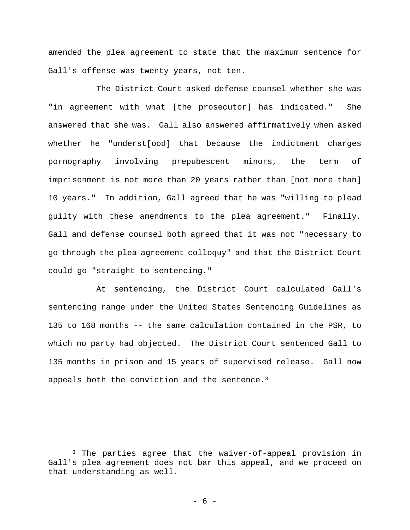amended the plea agreement to state that the maximum sentence for Gall's offense was twenty years, not ten.

 The District Court asked defense counsel whether she was "in agreement with what [the prosecutor] has indicated." She answered that she was. Gall also answered affirmatively when asked whether he "underst[ood] that because the indictment charges pornography involving prepubescent minors, the term of imprisonment is not more than 20 years rather than [not more than] 10 years." In addition, Gall agreed that he was "willing to plead guilty with these amendments to the plea agreement." Finally, Gall and defense counsel both agreed that it was not "necessary to go through the plea agreement colloquy" and that the District Court could go "straight to sentencing."

 At sentencing, the District Court calculated Gall's sentencing range under the United States Sentencing Guidelines as 135 to 168 months -- the same calculation contained in the PSR, to which no party had objected. The District Court sentenced Gall to 135 months in prison and 15 years of supervised release. Gall now appeals both the conviction and the sentence.3

<sup>&</sup>lt;sup>3</sup> The parties agree that the waiver-of-appeal provision in Gall's plea agreement does not bar this appeal, and we proceed on that understanding as well.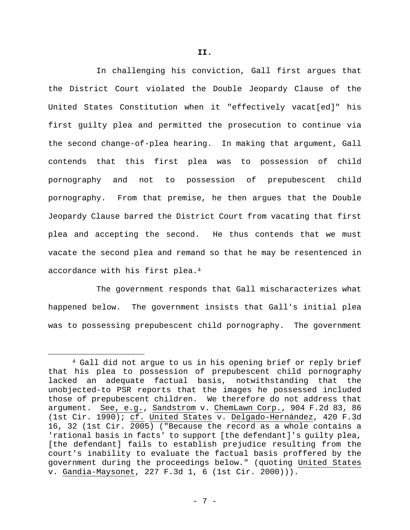In challenging his conviction, Gall first argues that the District Court violated the Double Jeopardy Clause of the United States Constitution when it "effectively vacat[ed]" his first guilty plea and permitted the prosecution to continue via the second change-of-plea hearing. In making that argument, Gall contends that this first plea was to possession of child pornography and not to possession of prepubescent child pornography. From that premise, he then argues that the Double Jeopardy Clause barred the District Court from vacating that first plea and accepting the second. He thus contends that we must vacate the second plea and remand so that he may be resentenced in accordance with his first plea.4

 The government responds that Gall mischaracterizes what happened below. The government insists that Gall's initial plea was to possessing prepubescent child pornography. The government

 <sup>4</sup> Gall did not argue to us in his opening brief or reply brief that his plea to possession of prepubescent child pornography lacked an adequate factual basis, notwithstanding that the unobjected-to PSR reports that the images he possessed included those of prepubescent children. We therefore do not address that argument. See, e.g., Sandstrom v. ChemLawn Corp., 904 F.2d 83, 86 (1st Cir. 1990); cf. United States v. Delgado-Hernández, 420 F.3d 16, 32 (1st Cir. 2005) ("Because the record as a whole contains a 'rational basis in facts' to support [the defendant]'s guilty plea, [the defendant] fails to establish prejudice resulting from the court's inability to evaluate the factual basis proffered by the government during the proceedings below." (quoting United States v. Gandia-Maysonet, 227 F.3d 1, 6 (1st Cir. 2000))).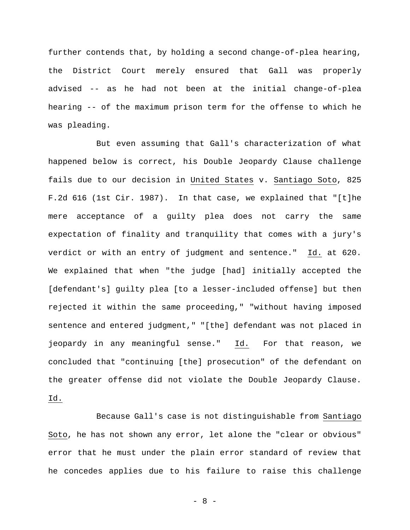further contends that, by holding a second change-of-plea hearing, the District Court merely ensured that Gall was properly advised -- as he had not been at the initial change-of-plea hearing -- of the maximum prison term for the offense to which he was pleading.

 But even assuming that Gall's characterization of what happened below is correct, his Double Jeopardy Clause challenge fails due to our decision in United States v. Santiago Soto, 825 F.2d 616 (1st Cir. 1987). In that case, we explained that "[t]he mere acceptance of a guilty plea does not carry the same expectation of finality and tranquility that comes with a jury's verdict or with an entry of judgment and sentence." Id. at 620. We explained that when "the judge [had] initially accepted the [defendant's] guilty plea [to a lesser-included offense] but then rejected it within the same proceeding," "without having imposed sentence and entered judgment," "[the] defendant was not placed in jeopardy in any meaningful sense." Id. For that reason, we concluded that "continuing [the] prosecution" of the defendant on the greater offense did not violate the Double Jeopardy Clause. Id.

 Because Gall's case is not distinguishable from Santiago Soto, he has not shown any error, let alone the "clear or obvious" error that he must under the plain error standard of review that he concedes applies due to his failure to raise this challenge

- 8 -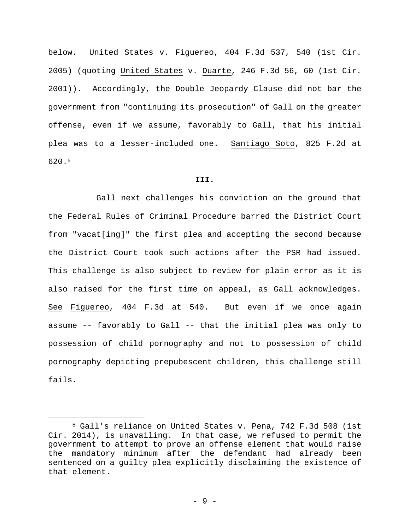below. United States v. Figuereo, 404 F.3d 537, 540 (1st Cir. 2005) (quoting United States v. Duarte, 246 F.3d 56, 60 (1st Cir. 2001)). Accordingly, the Double Jeopardy Clause did not bar the government from "continuing its prosecution" of Gall on the greater offense, even if we assume, favorably to Gall, that his initial plea was to a lesser-included one. Santiago Soto, 825 F.2d at 620.5

## **III.**

Gall next challenges his conviction on the ground that the Federal Rules of Criminal Procedure barred the District Court from "vacat[ing]" the first plea and accepting the second because the District Court took such actions after the PSR had issued. This challenge is also subject to review for plain error as it is also raised for the first time on appeal, as Gall acknowledges. See Figuereo, 404 F.3d at 540. But even if we once again assume -- favorably to Gall -- that the initial plea was only to possession of child pornography and not to possession of child pornography depicting prepubescent children, this challenge still fails.

 <sup>5</sup> Gall's reliance on United States v. Pena, 742 F.3d 508 (1st Cir. 2014), is unavailing. In that case, we refused to permit the government to attempt to prove an offense element that would raise the mandatory minimum after the defendant had already been sentenced on a guilty plea explicitly disclaiming the existence of that element.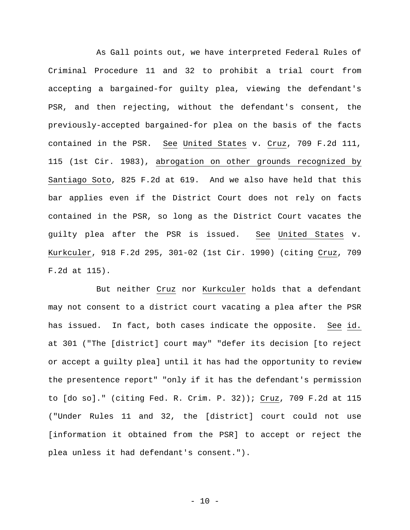As Gall points out, we have interpreted Federal Rules of Criminal Procedure 11 and 32 to prohibit a trial court from accepting a bargained-for guilty plea, viewing the defendant's PSR, and then rejecting, without the defendant's consent, the previously-accepted bargained-for plea on the basis of the facts contained in the PSR. See United States v. Cruz, 709 F.2d 111, 115 (1st Cir. 1983), abrogation on other grounds recognized by Santiago Soto, 825 F.2d at 619. And we also have held that this bar applies even if the District Court does not rely on facts contained in the PSR, so long as the District Court vacates the guilty plea after the PSR is issued. See United States v. Kurkculer, 918 F.2d 295, 301-02 (1st Cir. 1990) (citing Cruz, 709 F.2d at 115).

 But neither Cruz nor Kurkculer holds that a defendant may not consent to a district court vacating a plea after the PSR has issued. In fact, both cases indicate the opposite. See id. at 301 ("The [district] court may" "defer its decision [to reject or accept a guilty plea] until it has had the opportunity to review the presentence report" "only if it has the defendant's permission to [do so]." (citing Fed. R. Crim. P. 32)); Cruz, 709 F.2d at 115 ("Under Rules 11 and 32, the [district] court could not use [information it obtained from the PSR] to accept or reject the plea unless it had defendant's consent.").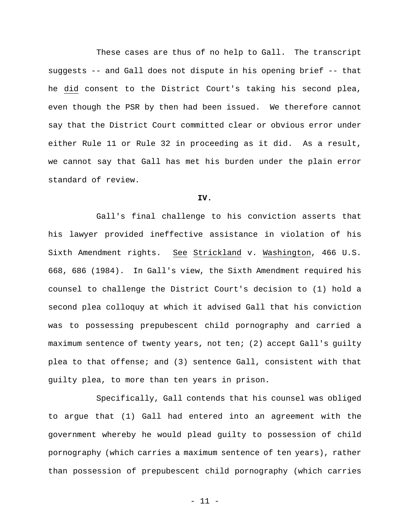These cases are thus of no help to Gall. The transcript suggests -- and Gall does not dispute in his opening brief -- that he did consent to the District Court's taking his second plea, even though the PSR by then had been issued. We therefore cannot say that the District Court committed clear or obvious error under either Rule 11 or Rule 32 in proceeding as it did. As a result, we cannot say that Gall has met his burden under the plain error standard of review.

## **IV.**

Gall's final challenge to his conviction asserts that his lawyer provided ineffective assistance in violation of his Sixth Amendment rights. See Strickland v. Washington, 466 U.S. 668, 686 (1984). In Gall's view, the Sixth Amendment required his counsel to challenge the District Court's decision to (1) hold a second plea colloquy at which it advised Gall that his conviction was to possessing prepubescent child pornography and carried a maximum sentence of twenty years, not ten; (2) accept Gall's guilty plea to that offense; and (3) sentence Gall, consistent with that guilty plea, to more than ten years in prison.

 Specifically, Gall contends that his counsel was obliged to argue that (1) Gall had entered into an agreement with the government whereby he would plead guilty to possession of child pornography (which carries a maximum sentence of ten years), rather than possession of prepubescent child pornography (which carries

- 11 -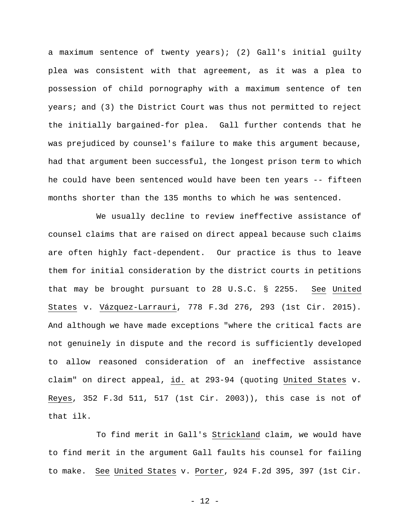a maximum sentence of twenty years); (2) Gall's initial guilty plea was consistent with that agreement, as it was a plea to possession of child pornography with a maximum sentence of ten years; and (3) the District Court was thus not permitted to reject the initially bargained-for plea. Gall further contends that he was prejudiced by counsel's failure to make this argument because, had that argument been successful, the longest prison term to which he could have been sentenced would have been ten years -- fifteen months shorter than the 135 months to which he was sentenced.

 We usually decline to review ineffective assistance of counsel claims that are raised on direct appeal because such claims are often highly fact-dependent. Our practice is thus to leave them for initial consideration by the district courts in petitions that may be brought pursuant to 28 U.S.C. § 2255. See United States v. Vázquez-Larrauri, 778 F.3d 276, 293 (1st Cir. 2015). And although we have made exceptions "where the critical facts are not genuinely in dispute and the record is sufficiently developed to allow reasoned consideration of an ineffective assistance claim" on direct appeal, id. at 293-94 (quoting United States v. Reyes, 352 F.3d 511, 517 (1st Cir. 2003)), this case is not of that ilk.

 To find merit in Gall's Strickland claim, we would have to find merit in the argument Gall faults his counsel for failing to make. See United States v. Porter, 924 F.2d 395, 397 (1st Cir.

- 12 -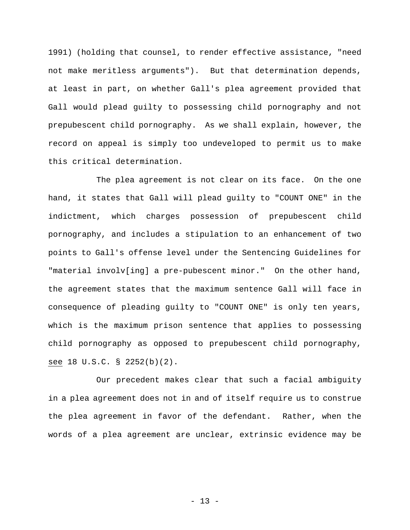1991) (holding that counsel, to render effective assistance, "need not make meritless arguments"). But that determination depends, at least in part, on whether Gall's plea agreement provided that Gall would plead guilty to possessing child pornography and not prepubescent child pornography. As we shall explain, however, the record on appeal is simply too undeveloped to permit us to make this critical determination.

 The plea agreement is not clear on its face. On the one hand, it states that Gall will plead guilty to "COUNT ONE" in the indictment, which charges possession of prepubescent child pornography, and includes a stipulation to an enhancement of two points to Gall's offense level under the Sentencing Guidelines for "material involv[ing] a pre-pubescent minor." On the other hand, the agreement states that the maximum sentence Gall will face in consequence of pleading guilty to "COUNT ONE" is only ten years, which is the maximum prison sentence that applies to possessing child pornography as opposed to prepubescent child pornography, see 18 U.S.C. § 2252(b)(2).

 Our precedent makes clear that such a facial ambiguity in a plea agreement does not in and of itself require us to construe the plea agreement in favor of the defendant. Rather, when the words of a plea agreement are unclear, extrinsic evidence may be

- 13 -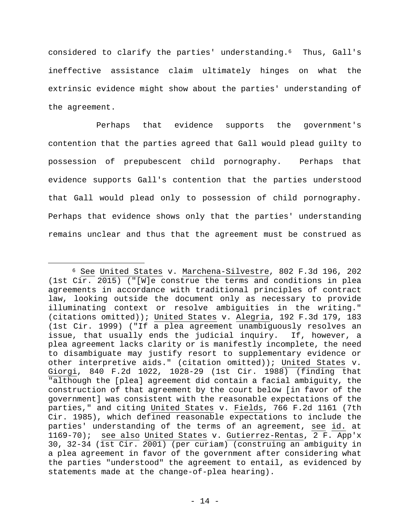considered to clarify the parties' understanding.6 Thus, Gall's ineffective assistance claim ultimately hinges on what the extrinsic evidence might show about the parties' understanding of the agreement.

 Perhaps that evidence supports the government's contention that the parties agreed that Gall would plead guilty to possession of prepubescent child pornography. Perhaps that evidence supports Gall's contention that the parties understood that Gall would plead only to possession of child pornography. Perhaps that evidence shows only that the parties' understanding remains unclear and thus that the agreement must be construed as

 <sup>6</sup> See United States v. Marchena-Silvestre, 802 F.3d 196, 202 (1st Cir. 2015) ("[W]e construe the terms and conditions in plea agreements in accordance with traditional principles of contract law, looking outside the document only as necessary to provide illuminating context or resolve ambiguities in the writing." (citations omitted)); United States v. Alegria, 192 F.3d 179, 183 (1st Cir. 1999) ("If a plea agreement unambiguously resolves an issue, that usually ends the judicial inquiry. If, however, a plea agreement lacks clarity or is manifestly incomplete, the need to disambiguate may justify resort to supplementary evidence or other interpretive aids." (citation omitted)); United States v. Giorgi, 840 F.2d 1022, 1028-29 (1st Cir. 1988) (finding that "although the [plea] agreement did contain a facial ambiguity, the construction of that agreement by the court below [in favor of the government] was consistent with the reasonable expectations of the parties," and citing United States v. Fields, 766 F.2d 1161 (7th Cir. 1985), which defined reasonable expectations to include the parties' understanding of the terms of an agreement, see id. at 1169-70); see also United States v. Gutierrez-Rentas, 2 F. App'x 30, 32-34 (1st Cir. 2001) (per curiam) (construing an ambiguity in a plea agreement in favor of the government after considering what the parties "understood" the agreement to entail, as evidenced by statements made at the change-of-plea hearing).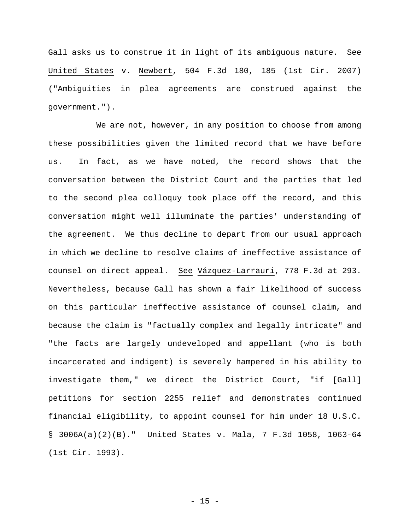Gall asks us to construe it in light of its ambiguous nature. See United States v. Newbert, 504 F.3d 180, 185 (1st Cir. 2007) ("Ambiguities in plea agreements are construed against the government.").

We are not, however, in any position to choose from among these possibilities given the limited record that we have before us. In fact, as we have noted, the record shows that the conversation between the District Court and the parties that led to the second plea colloquy took place off the record, and this conversation might well illuminate the parties' understanding of the agreement. We thus decline to depart from our usual approach in which we decline to resolve claims of ineffective assistance of counsel on direct appeal. See Vázquez-Larrauri, 778 F.3d at 293. Nevertheless, because Gall has shown a fair likelihood of success on this particular ineffective assistance of counsel claim, and because the claim is "factually complex and legally intricate" and "the facts are largely undeveloped and appellant (who is both incarcerated and indigent) is severely hampered in his ability to investigate them," we direct the District Court, "if [Gall] petitions for section 2255 relief and demonstrates continued financial eligibility, to appoint counsel for him under 18 U.S.C. § 3006A(a)(2)(B)." United States v. Mala, 7 F.3d 1058, 1063-64 (1st Cir. 1993).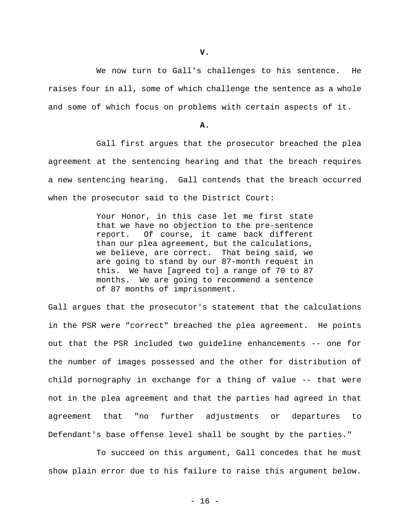We now turn to Gall's challenges to his sentence. He raises four in all, some of which challenge the sentence as a whole and some of which focus on problems with certain aspects of it.

## **A.**

 Gall first argues that the prosecutor breached the plea agreement at the sentencing hearing and that the breach requires a new sentencing hearing. Gall contends that the breach occurred when the prosecutor said to the District Court:

> Your Honor, in this case let me first state that we have no objection to the pre-sentence report. Of course, it came back different than our plea agreement, but the calculations, we believe, are correct. That being said, we are going to stand by our 87-month request in this. We have [agreed to] a range of 70 to 87 months. We are going to recommend a sentence of 87 months of imprisonment.

Gall argues that the prosecutor's statement that the calculations in the PSR were "correct" breached the plea agreement. He points out that the PSR included two guideline enhancements -- one for the number of images possessed and the other for distribution of child pornography in exchange for a thing of value -- that were not in the plea agreement and that the parties had agreed in that agreement that "no further adjustments or departures to Defendant's base offense level shall be sought by the parties."

 To succeed on this argument, Gall concedes that he must show plain error due to his failure to raise this argument below.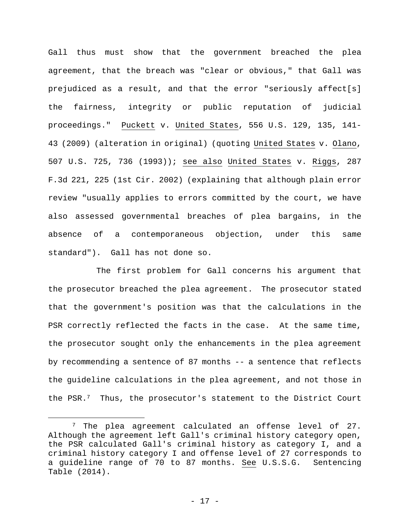Gall thus must show that the government breached the plea agreement, that the breach was "clear or obvious," that Gall was prejudiced as a result, and that the error "seriously affect[s] the fairness, integrity or public reputation of judicial proceedings." Puckett v. United States, 556 U.S. 129, 135, 141- 43 (2009) (alteration in original) (quoting United States v. Olano, 507 U.S. 725, 736 (1993)); see also United States v. Riggs, 287 F.3d 221, 225 (1st Cir. 2002) (explaining that although plain error review "usually applies to errors committed by the court, we have also assessed governmental breaches of plea bargains, in the absence of a contemporaneous objection, under this same standard"). Gall has not done so.

 The first problem for Gall concerns his argument that the prosecutor breached the plea agreement. The prosecutor stated that the government's position was that the calculations in the PSR correctly reflected the facts in the case. At the same time, the prosecutor sought only the enhancements in the plea agreement by recommending a sentence of 87 months -- a sentence that reflects the guideline calculations in the plea agreement, and not those in the PSR.7 Thus, the prosecutor's statement to the District Court

 <sup>7</sup> The plea agreement calculated an offense level of 27. Although the agreement left Gall's criminal history category open, the PSR calculated Gall's criminal history as category I, and a criminal history category I and offense level of 27 corresponds to a guideline range of 70 to 87 months. See U.S.S.G. Sentencing Table (2014).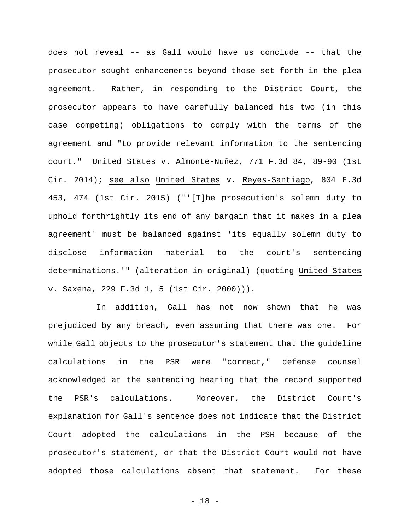does not reveal -- as Gall would have us conclude -- that the prosecutor sought enhancements beyond those set forth in the plea agreement. Rather, in responding to the District Court, the prosecutor appears to have carefully balanced his two (in this case competing) obligations to comply with the terms of the agreement and "to provide relevant information to the sentencing court." United States v. Almonte-Nuñez, 771 F.3d 84, 89-90 (1st Cir. 2014); see also United States v. Reyes-Santiago, 804 F.3d 453, 474 (1st Cir. 2015) ("'[T]he prosecution's solemn duty to uphold forthrightly its end of any bargain that it makes in a plea agreement' must be balanced against 'its equally solemn duty to disclose information material to the court's sentencing determinations.'" (alteration in original) (quoting United States v. Saxena, 229 F.3d 1, 5 (1st Cir. 2000))).

 In addition, Gall has not now shown that he was prejudiced by any breach, even assuming that there was one. For while Gall objects to the prosecutor's statement that the guideline calculations in the PSR were "correct," defense counsel acknowledged at the sentencing hearing that the record supported the PSR's calculations. Moreover, the District Court's explanation for Gall's sentence does not indicate that the District Court adopted the calculations in the PSR because of the prosecutor's statement, or that the District Court would not have adopted those calculations absent that statement. For these

- 18 -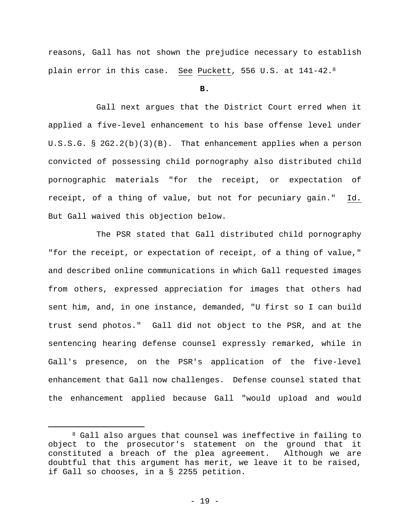reasons, Gall has not shown the prejudice necessary to establish plain error in this case. See Puckett, 556 U.S. at 141-42.8

**B.** 

Gall next argues that the District Court erred when it applied a five-level enhancement to his base offense level under U.S.S.G. § 2G2.2(b)(3)(B). That enhancement applies when a person convicted of possessing child pornography also distributed child pornographic materials "for the receipt, or expectation of receipt, of a thing of value, but not for pecuniary gain." Id. But Gall waived this objection below.

 The PSR stated that Gall distributed child pornography "for the receipt, or expectation of receipt, of a thing of value," and described online communications in which Gall requested images from others, expressed appreciation for images that others had sent him, and, in one instance, demanded, "U first so I can build trust send photos." Gall did not object to the PSR, and at the sentencing hearing defense counsel expressly remarked, while in Gall's presence, on the PSR's application of the five-level enhancement that Gall now challenges. Defense counsel stated that the enhancement applied because Gall "would upload and would

<sup>8</sup> Gall also argues that counsel was ineffective in failing to object to the prosecutor's statement on the ground that it constituted a breach of the plea agreement. Although we are doubtful that this argument has merit, we leave it to be raised, if Gall so chooses, in a § 2255 petition.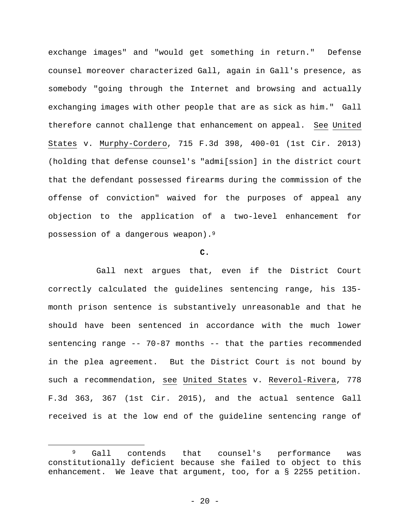exchange images" and "would get something in return." Defense counsel moreover characterized Gall, again in Gall's presence, as somebody "going through the Internet and browsing and actually exchanging images with other people that are as sick as him." Gall therefore cannot challenge that enhancement on appeal. See United States v. Murphy-Cordero, 715 F.3d 398, 400-01 (1st Cir. 2013) (holding that defense counsel's "admi[ssion] in the district court that the defendant possessed firearms during the commission of the offense of conviction" waived for the purposes of appeal any objection to the application of a two-level enhancement for possession of a dangerous weapon).9

### **C.**

Gall next argues that, even if the District Court correctly calculated the guidelines sentencing range, his 135 month prison sentence is substantively unreasonable and that he should have been sentenced in accordance with the much lower sentencing range -- 70-87 months -- that the parties recommended in the plea agreement. But the District Court is not bound by such a recommendation, see United States v. Reverol-Rivera, 778 F.3d 363, 367 (1st Cir. 2015), and the actual sentence Gall received is at the low end of the guideline sentencing range of

er a sequence of the counsel's performance was sequence on that counsel's performance was set of the counsel's  $\theta$ constitutionally deficient because she failed to object to this enhancement. We leave that argument, too, for a § 2255 petition.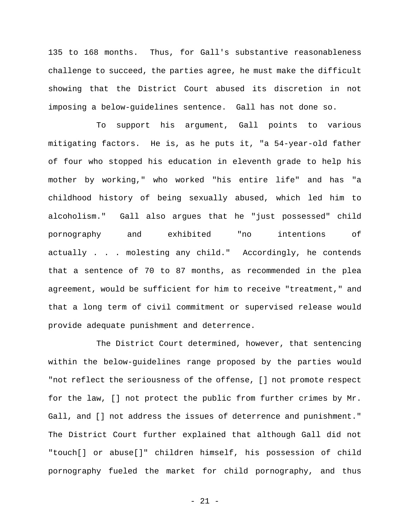135 to 168 months. Thus, for Gall's substantive reasonableness challenge to succeed, the parties agree, he must make the difficult showing that the District Court abused its discretion in not imposing a below-guidelines sentence. Gall has not done so.

 To support his argument, Gall points to various mitigating factors. He is, as he puts it, "a 54-year-old father of four who stopped his education in eleventh grade to help his mother by working," who worked "his entire life" and has "a childhood history of being sexually abused, which led him to alcoholism." Gall also argues that he "just possessed" child pornography and exhibited "no intentions of actually . . . molesting any child." Accordingly, he contends that a sentence of 70 to 87 months, as recommended in the plea agreement, would be sufficient for him to receive "treatment," and that a long term of civil commitment or supervised release would provide adequate punishment and deterrence.

 The District Court determined, however, that sentencing within the below-guidelines range proposed by the parties would "not reflect the seriousness of the offense, [] not promote respect for the law, [] not protect the public from further crimes by Mr. Gall, and [] not address the issues of deterrence and punishment." The District Court further explained that although Gall did not "touch[] or abuse[]" children himself, his possession of child pornography fueled the market for child pornography, and thus

- 21 -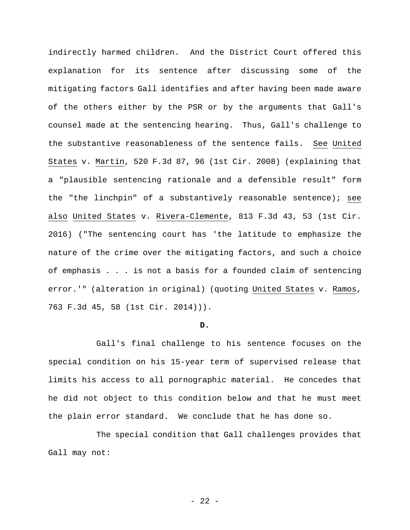indirectly harmed children. And the District Court offered this explanation for its sentence after discussing some of the mitigating factors Gall identifies and after having been made aware of the others either by the PSR or by the arguments that Gall's counsel made at the sentencing hearing. Thus, Gall's challenge to the substantive reasonableness of the sentence fails. See United States v. Martin, 520 F.3d 87, 96 (1st Cir. 2008) (explaining that a "plausible sentencing rationale and a defensible result" form the "the linchpin" of a substantively reasonable sentence); see also United States v. Rivera-Clemente, 813 F.3d 43, 53 (1st Cir. 2016) ("The sentencing court has 'the latitude to emphasize the nature of the crime over the mitigating factors, and such a choice of emphasis . . . is not a basis for a founded claim of sentencing error.'" (alteration in original) (quoting United States v. Ramos, 763 F.3d 45, 58 (1st Cir. 2014))).

## **D.**

Gall's final challenge to his sentence focuses on the special condition on his 15-year term of supervised release that limits his access to all pornographic material. He concedes that he did not object to this condition below and that he must meet the plain error standard. We conclude that he has done so.

 The special condition that Gall challenges provides that Gall may not: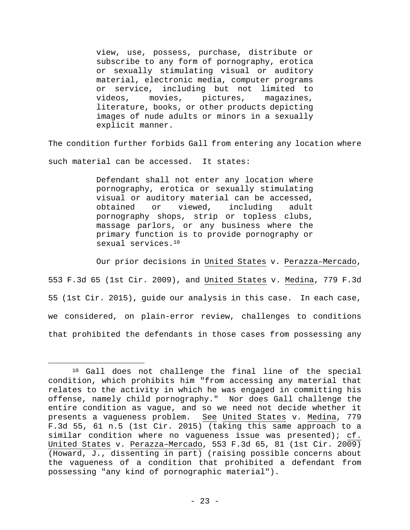view, use, possess, purchase, distribute or subscribe to any form of pornography, erotica or sexually stimulating visual or auditory material, electronic media, computer programs or service, including but not limited to videos, movies, pictures, magazines, literature, books, or other products depicting images of nude adults or minors in a sexually explicit manner.

The condition further forbids Gall from entering any location where such material can be accessed. It states:

> Defendant shall not enter any location where pornography, erotica or sexually stimulating visual or auditory material can be accessed, obtained or viewed, including adult pornography shops, strip or topless clubs, massage parlors, or any business where the primary function is to provide pornography or sexual services.<sup>10</sup>

Our prior decisions in United States v. Perazza–Mercado,

553 F.3d 65 (1st Cir. 2009), and United States v. Medina, 779 F.3d 55 (1st Cir. 2015), guide our analysis in this case. In each case, we considered, on plain-error review, challenges to conditions that prohibited the defendants in those cases from possessing any

 <sup>10</sup> Gall does not challenge the final line of the special condition, which prohibits him "from accessing any material that relates to the activity in which he was engaged in committing his offense, namely child pornography." Nor does Gall challenge the entire condition as vague, and so we need not decide whether it presents a vagueness problem. See United States v. Medina, 779 F.3d 55, 61 n.5 (1st Cir. 2015) (taking this same approach to a similar condition where no vagueness issue was presented); cf. United States v. Perazza–Mercado, 553 F.3d 65, 81 (1st Cir. 2009) (Howard, J., dissenting in part) (raising possible concerns about the vagueness of a condition that prohibited a defendant from possessing "any kind of pornographic material").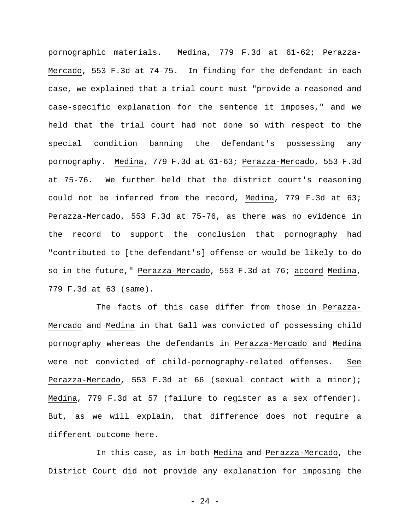pornographic materials. Medina, 779 F.3d at 61-62; Perazza-Mercado, 553 F.3d at 74-75. In finding for the defendant in each case, we explained that a trial court must "provide a reasoned and case-specific explanation for the sentence it imposes," and we held that the trial court had not done so with respect to the special condition banning the defendant's possessing any pornography. Medina, 779 F.3d at 61-63; Perazza-Mercado, 553 F.3d at 75-76. We further held that the district court's reasoning could not be inferred from the record, Medina, 779 F.3d at 63; Perazza-Mercado, 553 F.3d at 75-76, as there was no evidence in the record to support the conclusion that pornography had "contributed to [the defendant's] offense or would be likely to do so in the future," Perazza-Mercado, 553 F.3d at 76; accord Medina, 779 F.3d at 63 (same).

 The facts of this case differ from those in Perazza-Mercado and Medina in that Gall was convicted of possessing child pornography whereas the defendants in Perazza-Mercado and Medina were not convicted of child-pornography-related offenses. See Perazza-Mercado, 553 F.3d at 66 (sexual contact with a minor); Medina, 779 F.3d at 57 (failure to register as a sex offender). But, as we will explain, that difference does not require a different outcome here.

 In this case, as in both Medina and Perazza-Mercado, the District Court did not provide any explanation for imposing the

- 24 -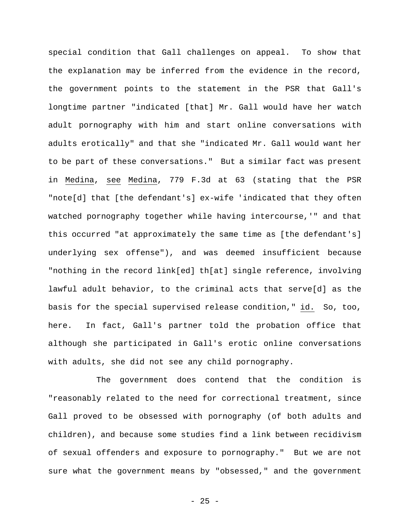special condition that Gall challenges on appeal. To show that the explanation may be inferred from the evidence in the record, the government points to the statement in the PSR that Gall's longtime partner "indicated [that] Mr. Gall would have her watch adult pornography with him and start online conversations with adults erotically" and that she "indicated Mr. Gall would want her to be part of these conversations." But a similar fact was present in Medina, see Medina, 779 F.3d at 63 (stating that the PSR "note[d] that [the defendant's] ex-wife 'indicated that they often watched pornography together while having intercourse,'" and that this occurred "at approximately the same time as [the defendant's] underlying sex offense"), and was deemed insufficient because "nothing in the record link[ed] th[at] single reference, involving lawful adult behavior, to the criminal acts that serve[d] as the basis for the special supervised release condition," id. So, too, here. In fact, Gall's partner told the probation office that although she participated in Gall's erotic online conversations with adults, she did not see any child pornography.

 The government does contend that the condition is "reasonably related to the need for correctional treatment, since Gall proved to be obsessed with pornography (of both adults and children), and because some studies find a link between recidivism of sexual offenders and exposure to pornography." But we are not sure what the government means by "obsessed," and the government

 $- 25 -$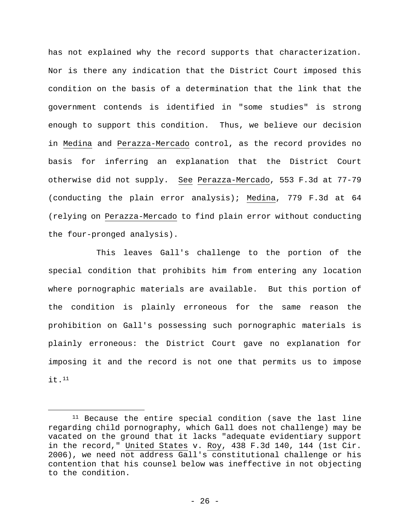has not explained why the record supports that characterization. Nor is there any indication that the District Court imposed this condition on the basis of a determination that the link that the government contends is identified in "some studies" is strong enough to support this condition. Thus, we believe our decision in Medina and Perazza-Mercado control, as the record provides no basis for inferring an explanation that the District Court otherwise did not supply. See Perazza-Mercado, 553 F.3d at 77-79 (conducting the plain error analysis); Medina, 779 F.3d at 64 (relying on Perazza-Mercado to find plain error without conducting the four-pronged analysis).

 This leaves Gall's challenge to the portion of the special condition that prohibits him from entering any location where pornographic materials are available. But this portion of the condition is plainly erroneous for the same reason the prohibition on Gall's possessing such pornographic materials is plainly erroneous: the District Court gave no explanation for imposing it and the record is not one that permits us to impose it.11

 <sup>11</sup> Because the entire special condition (save the last line regarding child pornography, which Gall does not challenge) may be vacated on the ground that it lacks "adequate evidentiary support in the record," United States v. Roy, 438 F.3d 140, 144 (1st Cir. 2006), we need not address Gall's constitutional challenge or his contention that his counsel below was ineffective in not objecting to the condition.